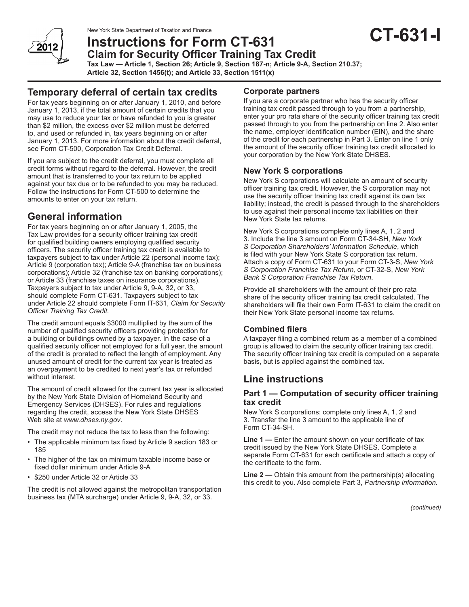

New York State Department of Taxation and Finance

# **Instructions for Form CT-631 Claim for Security Officer Training Tax Credit**

**Tax Law — Article 1, Section 26; Article 9, Section 187-n; Article 9-A, Section 210.37;**

**Article 32, Section 1456(t); and Article 33, Section 1511(x)**

## **Temporary deferral of certain tax credits**

For tax years beginning on or after January 1, 2010, and before January 1, 2013, if the total amount of certain credits that you may use to reduce your tax or have refunded to you is greater than \$2 million, the excess over \$2 million must be deferred to, and used or refunded in, tax years beginning on or after January 1, 2013. For more information about the credit deferral, see Form CT-500, Corporation Tax Credit Deferral.

If you are subject to the credit deferral, you must complete all credit forms without regard to the deferral. However, the credit amount that is transferred to your tax return to be applied against your tax due or to be refunded to you may be reduced. Follow the instructions for Form CT-500 to determine the amounts to enter on your tax return.

## **General information**

For tax years beginning on or after January 1, 2005, the Tax Law provides for a security officer training tax credit for qualified building owners employing qualified security officers. The security officer training tax credit is available to taxpayers subject to tax under Article 22 (personal income tax); Article 9 (corporation tax); Article 9-A (franchise tax on business corporations); Article 32 (franchise tax on banking corporations); or Article 33 (franchise taxes on insurance corporations). Taxpayers subject to tax under Article 9, 9-A, 32, or 33, should complete Form CT-631. Taxpayers subject to tax under Article 22 should complete Form IT-631, *Claim for Security Officer Training Tax Credit.*

The credit amount equals \$3000 multiplied by the sum of the number of qualified security officers providing protection for a building or buildings owned by a taxpayer. In the case of a qualified security officer not employed for a full year, the amount of the credit is prorated to reflect the length of employment. Any unused amount of credit for the current tax year is treated as an overpayment to be credited to next year's tax or refunded without interest.

The amount of credit allowed for the current tax year is allocated by the New York State Division of Homeland Security and Emergency Services (DHSES). For rules and regulations regarding the credit, access the New York State DHSES Web site at *www.dhses.ny.gov*.

The credit may not reduce the tax to less than the following:

- The applicable minimum tax fixed by Article 9 section 183 or 185
- The higher of the tax on minimum taxable income base or fixed dollar minimum under Article 9-A
- \$250 under Article 32 or Article 33

The credit is not allowed against the metropolitan transportation business tax (MTA surcharge) under Article 9, 9-A, 32, or 33.

#### **Corporate partners**

If you are a corporate partner who has the security officer training tax credit passed through to you from a partnership, enter your pro rata share of the security officer training tax credit passed through to you from the partnership on line 2. Also enter the name, employer identification number (EIN), and the share of the credit for each partnership in Part 3. Enter on line 1 only the amount of the security officer training tax credit allocated to your corporation by the New York State DHSES.

### **New York S corporations**

New York S corporations will calculate an amount of security officer training tax credit. However, the S corporation may not use the security officer training tax credit against its own tax liability; instead, the credit is passed through to the shareholders to use against their personal income tax liabilities on their New York State tax returns.

New York S corporations complete only lines A, 1, 2 and 3. Include the line 3 amount on Form CT-34-SH, *New York S Corporation Shareholders' Information Schedule*, which is filed with your New York State S corporation tax return. Attach a copy of Form CT-631 to your Form CT-3-S, *New York S Corporation Franchise Tax Return,* or CT-32-S, *New York Bank S Corporation Franchise Tax Return*.

Provide all shareholders with the amount of their pro rata share of the security officer training tax credit calculated. The shareholders will file their own Form IT‑631 to claim the credit on their New York State personal income tax returns.

#### **Combined filers**

A taxpayer filing a combined return as a member of a combined group is allowed to claim the security officer training tax credit. The security officer training tax credit is computed on a separate basis, but is applied against the combined tax.

### **Line instructions**

#### **Part 1 — Computation of security officer training tax credit**

New York S corporations: complete only lines A, 1, 2 and 3. Transfer the line 3 amount to the applicable line of Form CT-34-SH.

**Line 1 —** Enter the amount shown on your certificate of tax credit issued by the New York State DHSES. Complete a separate Form CT-631 for each certificate and attach a copy of the certificate to the form.

**Line 2 —** Obtain this amount from the partnership(s) allocating this credit to you. Also complete Part 3, *Partnership information.*

*(continued)*